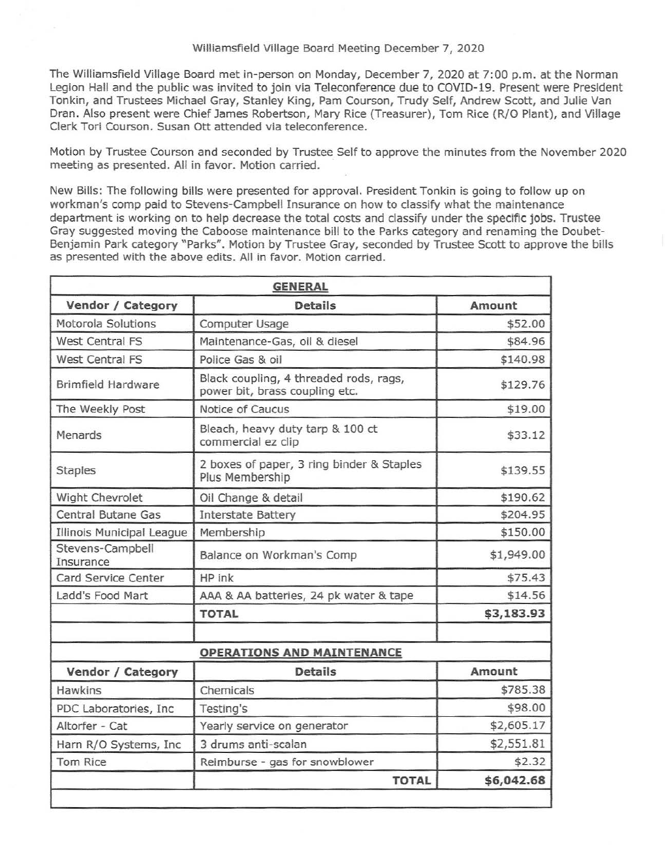The Williamsfield Village Board met in-person on Monday, December 7, 2020 at 7:00 p.m. at the Norman Legion Hall and the public was invited to join via Teleconference due to COVID-19. Present were President Tonkin, and Trustees Michael Gray, Stanley King, Pam Courson, Trudy Self, Andrew Scott, and Julie Van Dran. Also present were Chief James Robertson, Mary Rice (Treasurer), Tom Rice (R/0 Plant), and Village Clerk Tori Courson. Susan Ott attended via teleconference.

Motion by Trustee Courson and seconded by Trustee Self to approve the minutes from the November 2020 meeting as presented. All in favor. Motion carried.

New Bills: The following bills were presented for approval. President Tonkin is going to follow up on workman's comp paid to Stevens-Campbell Insurance on how to classify what the maintenance department is working on to help decrease the total costs and classify under the specific jobs. Trustee Gray suggested moving the Caboose maintenance bill to the Parks category and renaming the Doubet-Benjamin Park category "Parks". Motion by Trustee Gray, seconded by Trustee Scott to approve the bills as presented with the above edits. All in favor. Motion carried.

|                               | <b>GENERAL</b>                                                           |               |
|-------------------------------|--------------------------------------------------------------------------|---------------|
| Vendor / Category             | <b>Details</b>                                                           | <b>Amount</b> |
| Motorola Solutions            | Computer Usage                                                           | \$52.00       |
| <b>West Central FS</b>        | Maintenance-Gas, oil & diesel                                            | \$84.96       |
| West Central FS               | Police Gas & oil                                                         | \$140.98      |
| <b>Brimfield Hardware</b>     | Black coupling, 4 threaded rods, rags,<br>power bit, brass coupling etc. | \$129.76      |
| The Weekly Post               | Notice of Caucus                                                         | \$19.00       |
| Menards                       | Bleach, heavy duty tarp & 100 ct<br>commercial ez clip                   | \$33.12       |
| <b>Staples</b>                | 2 boxes of paper, 3 ring binder & Staples<br>Plus Membership             | \$139.55      |
| Wight Chevrolet               | Oil Change & detail                                                      | \$190.62      |
| <b>Central Butane Gas</b>     | <b>Interstate Battery</b>                                                | \$204.95      |
| Illinois Municipal League     | Membership                                                               | \$150.00      |
| Stevens-Campbell<br>Insurance | Balance on Workman's Comp                                                | \$1,949.00    |
| Card Service Center           | HP ink                                                                   | \$75.43       |
| Ladd's Food Mart              | AAA & AA batteries, 24 pk water & tape                                   | \$14.56       |
|                               | <b>TOTAL</b>                                                             | \$3,183.93    |
|                               |                                                                          |               |
|                               | <b>OPERATIONS AND MAINTENANCE</b>                                        |               |
| Vendor / Category             | <b>Details</b>                                                           | Amount        |
| Hawkins                       | Chemicals                                                                | \$785.38      |
| PDC Laboratories, Inc.        | Testing's                                                                | \$98.00       |
| Altorfer - Cat                | Yearly service on generator                                              | \$2,605.17    |
| Harn R/O Systems, Inc.        | 3 drums anti-scalan                                                      | \$2,551.81    |
| <b>Tom Rice</b>               | Reimburse - gas for snowblower                                           | \$2.32        |
|                               | <b>TOTAL</b>                                                             | \$6,042.68    |
|                               |                                                                          |               |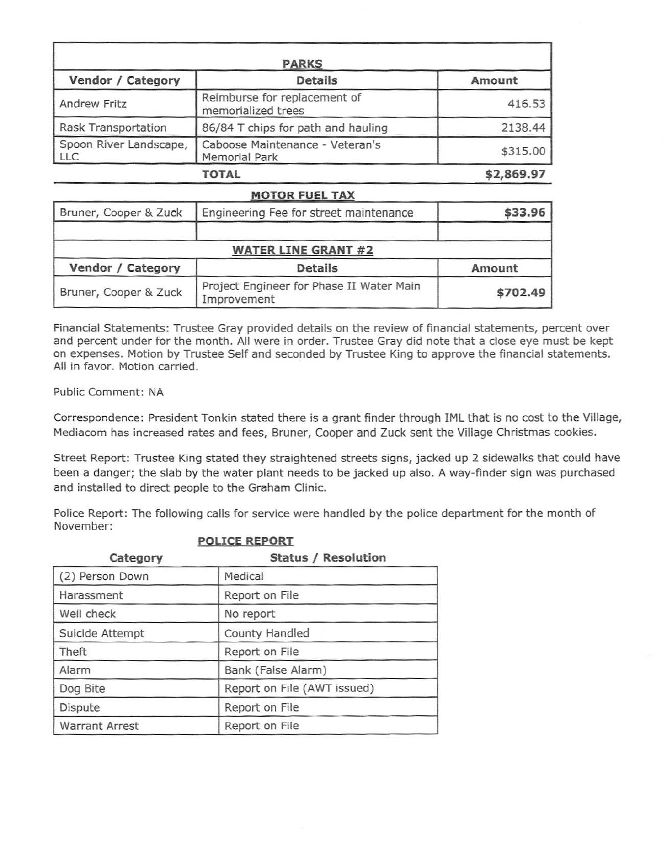| <b>PARKS</b>                         |                                                         |            |
|--------------------------------------|---------------------------------------------------------|------------|
| Vendor / Category                    | <b>Details</b>                                          | Amount     |
| <b>Andrew Fritz</b>                  | Reimburse for replacement of<br>memorialized trees      | 416.53     |
| Rask Transportation                  | 86/84 T chips for path and hauling                      | 2138.44    |
| Spoon River Landscape,<br><b>LLC</b> | Caboose Maintenance - Veteran's<br><b>Memorial Park</b> | \$315.00   |
|                                      | TOTAL                                                   | \$2,869.97 |

## **MOTOR FUEL TAX**  Bruner, Cooper & Zuck | Engineering Fee for street maintenance | \$33.96 **WATER LINE GRANT #2**  Vendor / Category | Details **Amount** Bruner, Cooper & Zuck Project Engineer for Phase II Water Main **\$702.49**

Financial Statements: Trustee Gray provided details on the review of financial statements, percent over and percent under for the month. All were in order. Trustee Gray did note that a close eye must be kept on expenses. Motion by Trustee Self and seconded by Trustee King to approve the financial statements. All in favor. Motion carried.

Public Comment: NA

Correspondence: President Tonkin stated there is a grant finder through IML that is no cost to the Village, Mediacom has increased rates and fees, Bruner, Cooper and Zuck sent the Village Christmas cookies.

Street Report: Trustee King stated they straightened streets signs, jacked up 2 sidewalks that could have been a danger; the slab by the water plant needs to be jacked up also. A way-finder sign was purchased and installed to direct people to the Graham Clinic.

Police Report: The following calls for service were handled by the police department for the month of November:

|                       | FULLUL NEFURI               |
|-----------------------|-----------------------------|
| Category              | <b>Status / Resolution</b>  |
| (2) Person Down       | Medical                     |
| Harassment            | Report on File              |
| Well check            | No report                   |
| Suicide Attempt       | <b>County Handled</b>       |
| Theft                 | Report on File              |
| Alarm                 | Bank (False Alarm)          |
| Dog Bite              | Report on File (AWT issued) |
| Dispute               | Report on File              |
| <b>Warrant Arrest</b> | Report on File              |
|                       |                             |

**POLICE REPORT**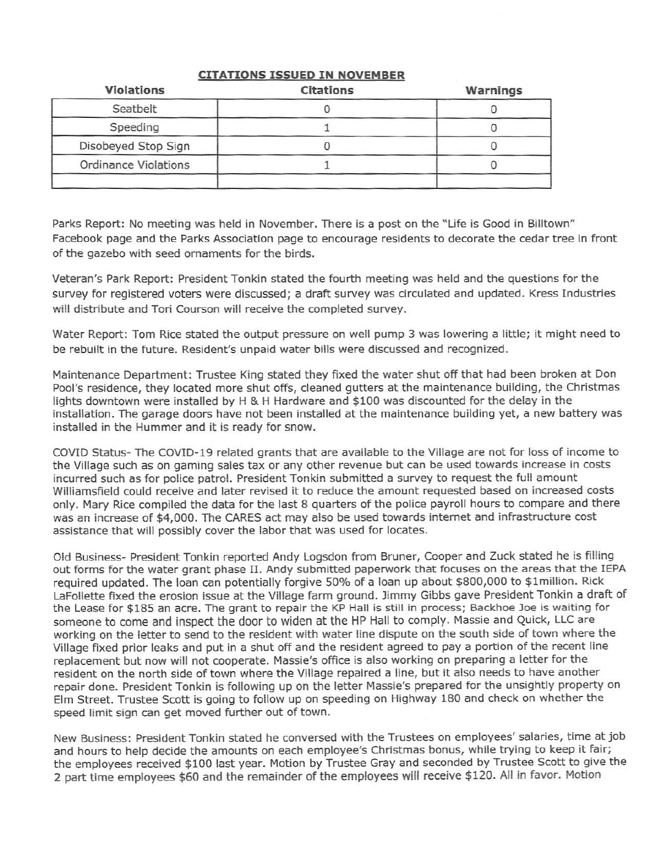| <b>Violations</b>           | <b>Citations</b> | Warnings |
|-----------------------------|------------------|----------|
| Seatbelt                    |                  |          |
| Speeding                    |                  |          |
| Disobeyed Stop Sign         |                  |          |
| <b>Ordinance Violations</b> |                  |          |

## **CITATIONS ISSUED IN NOVEMBER**

Parks Report: No meeting was held in November. There is a post on the "Life is Good in Billtown" Facebook page and the Parks Association page to encourage residents to decorate the cedar tree in front of the gazebo with seed ornaments for the birds.

Veteran's Park Report: President Tonkin stated the fourth meeting was held and the questions for the survey for registered voters were discussed; a draft survey was circulated and updated. Kress Industries will distribute and Tori Courson will receive the completed survey.

Water Report: Tom Rice stated the output pressure on well pump 3 was lowering a little; it might need to be rebuilt in the future. Resident's unpaid water bills were discussed and recognized.

Maintenance Department: Trustee King stated they fixed the water shut off that had been broken at Don Pool's residence, they located more shut offs, cleaned gutters at the maintenance building, the Christmas lights downtown were installed by H & H Hardware and \$100 was discounted for the delay in the installation. The garage doors have not been installed at the maintenance building yet, a new battery was installed in the Hummer and it is ready for snow.

COVID Status- The COVID-19 related grants that are available to the Village are not for loss of income to the Village such as on gaming sales tax or any other revenue but can be used towards increase in costs incurred such as for police patrol. President Tonkin submitted a survey to request the full amount Williamsfield could receive and later revised it to reduce the amount requested based on increased costs only. Mary Rice compiled the data for the last 8 quarters of the police payroll hours to compare and there was an increase of \$4,000. The CARES act may a!so be used towards internet and infrastructure cost assistance that will possibly cover the labor that was used for locates.

Old Business- President Tonkin reported Andy Logsdon from Bruner, Cooper and Zuck stated he is filling out forms for the water grant phase II. Andy submitted paperwork that focuses on the areas that the IEPA required updated. The loan can potentially forgive 50% of a loan up about \$800,000 to \$1million. Rick Lafollette fixed the erosion issue at the Village farm ground. Jimmy Gibbs gave President Tonkin a draft of the Lease for \$185 an acre. The grant to repair the KP Hall is still in process; Backhoe Joe is waiting for someone to come and inspect the door to widen at the HP Hall to comply. Massie and Quick, LLC are working on the letter to send to the resident with water line dispute on the south side of town where the Village fixed prior leaks and put in a shut off and the resident agreed to pay a portion of the recent line replacement but now will not cooperate. Massie's office is also working on preparing a letter for the resident on the north side of town where the Village repaired a line, but it also needs to have another repair done. President Tonkin is following up on the letter Massie's prepared for the unsightly property on Elm Street. Trustee Scott is going to follow up on speeding on Highway 180 and check on whether the speed limit sign can get moved further out of town.

New Business: President Tonkin stated he conversed with the Trustees on employees' salaries, time at job and hours to help decide the amounts on each employee's Christmas bonus, while trying to keep it fair; the employees received \$100 last year. Motion by Trustee Gray and seconded by Trustee Scott to give the 2 part time employees \$60 and the remainder of the employees will receive \$120. All in favor. Motion